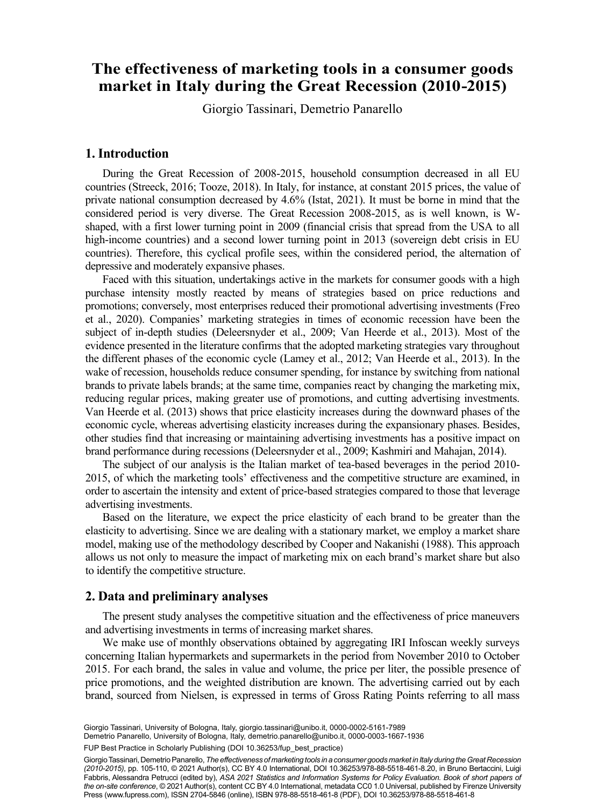# The effectiveness of marketing tools in a consumer goods **market in Italy during the Great Recession (2010-2015)**

Giorgio Tassinaria , Demetrio Panarelloa Giorgio Tassinari, Demetrio Panarello

## **1. Introduction**

During the Great Recession of 2008-2015, household consumption decreased in all EU countries (Streeck, 2016; Tooze, 2018). In Italy, for instance, at constant 2015 prices, the value of private national consumption decreased by 4.6% (Istat, 2021). It must be borne in mind that the considered period is very diverse. The Great Recession 2008-2015, as is well known, is Wshaped, with a first lower turning point in 2009 (financial crisis that spread from the USA to all high-income countries) and a second lower turning point in 2013 (sovereign debt crisis in EU countries). Therefore, this cyclical profile sees, within the considered period, the alternation of depressive and moderately expansive phases.

Faced with this situation, undertakings active in the markets for consumer goods with a high purchase intensity mostly reacted by means of strategies based on price reductions and promotions; conversely, most enterprises reduced their promotional advertising investments (Freo et al., 2020). Companies' marketing strategies in times of economic recession have been the subject of in-depth studies (Deleersnyder et al., 2009; Van Heerde et al., 2013). Most of the evidence presented in the literature confirms that the adopted marketing strategies vary throughout the different phases of the economic cycle (Lamey et al., 2012; Van Heerde et al., 2013). In the wake of recession, households reduce consumer spending, for instance by switching from national brands to private labels brands; at the same time, companies react by changing the marketing mix, reducing regular prices, making greater use of promotions, and cutting advertising investments. Van Heerde et al. (2013) shows that price elasticity increases during the downward phases of the economic cycle, whereas advertising elasticity increases during the expansionary phases. Besides, other studies find that increasing or maintaining advertising investments has a positive impact on brand performance during recessions (Deleersnyder et al., 2009; Kashmiri and Mahajan, 2014).

The subject of our analysis is the Italian market of tea-based beverages in the period 2010- 2015, of which the marketing tools' effectiveness and the competitive structure are examined, in order to ascertain the intensity and extent of price-based strategies compared to those that leverage advertising investments.

Based on the literature, we expect the price elasticity of each brand to be greater than the elasticity to advertising. Since we are dealing with a stationary market, we employ a market share model, making use of the methodology described by Cooper and Nakanishi (1988). This approach allows us not only to measure the impact of marketing mix on each brand's market share but also to identify the competitive structure.

## **2. Data and preliminary analyses**

The present study analyses the competitive situation and the effectiveness of price maneuvers and advertising investments in terms of increasing market shares.

We make use of monthly observations obtained by aggregating IRI Infoscan weekly surveys concerning Italian hypermarkets and supermarkets in the period from November 2010 to October 2015. For each brand, the sales in value and volume, the price per liter, the possible presence of price promotions, and the weighted distribution are known. The advertising carried out by each brand, sourced from Nielsen, is expressed in terms of Gross Rating Points referring to all mass

Demetrio Panarello, University of Bologna, Italy, [demetrio.panarello@unibo.it](mailto:demetrio.panarello@unibo.it), [0000-0003-1667-1936](https://orcid.org/0000-0003-1667-1936)

93 FUP Best Practice in Scholarly Publishing (DOI [10.36253/fup\\_best\\_practice](https://doi.org/10.36253/fup_best_practice))

Giorgio Tassinari, Demetrio Panarello, *The effectiveness of marketing tools in a consumer goods market in Italy during the Great Recession (2010-2015)*, pp. 105-110, © 2021 Author(s), [CC BY 4.0 International,](http://creativecommons.org/licenses/by/4.0/legalcode) DOI [10.36253/978-88-5518-461-8.20,](https://doi.org/10.36253/978-88-5518-461-8.20) in Bruno Bertaccini, Luigi Fabbris, Alessandra Petrucci (edited by), *ASA 2021 Statistics and Information Systems for Policy Evaluation. Book of short papers of the on-site conference*, © 2021 Author(s), content [CC BY 4.0 International,](http://creativecommons.org/licenses/by/4.0/legalcode) metadata [CC0 1.0 Universal](https://creativecommons.org/publicdomain/zero/1.0/legalcode), published by Firenze University Press ([www.fupress.com](http://www.fupress.com)), ISSN 2704-5846 (online), ISBN 978-88-5518-461-8 (PDF), DOI [10.36253/978-88-5518-461-8](https://doi.org/10.36253/978-88-5518-461-8)

Giorgio Tassinari, University of Bologna, Italy, [giorgio.tassinari@unibo.it](mailto:giorgio.tassinari@unibo.it), [0000-0002-5161-7989](https://orcid.org/0000-0002-5161-7989)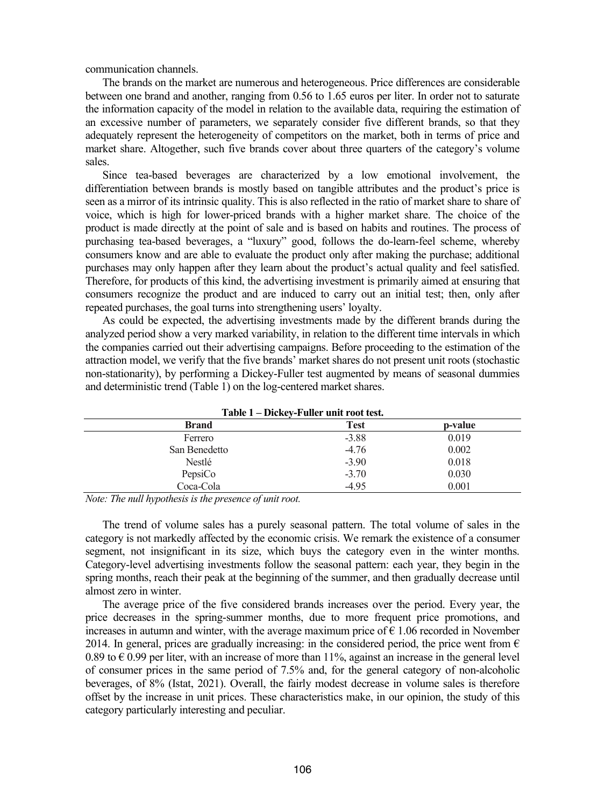communication channels.

The brands on the market are numerous and heterogeneous. Price differences are considerable between one brand and another, ranging from 0.56 to 1.65 euros per liter. In order not to saturate the information capacity of the model in relation to the available data, requiring the estimation of an excessive number of parameters, we separately consider five different brands, so that they adequately represent the heterogeneity of competitors on the market, both in terms of price and market share. Altogether, such five brands cover about three quarters of the category's volume sales.

Since tea-based beverages are characterized by a low emotional involvement, the differentiation between brands is mostly based on tangible attributes and the product's price is seen as a mirror of its intrinsic quality. This is also reflected in the ratio of market share to share of voice, which is high for lower-priced brands with a higher market share. The choice of the product is made directly at the point of sale and is based on habits and routines. The process of purchasing tea-based beverages, a "luxury" good, follows the do-learn-feel scheme, whereby consumers know and are able to evaluate the product only after making the purchase; additional purchases may only happen after they learn about the product's actual quality and feel satisfied. Therefore, for products of this kind, the advertising investment is primarily aimed at ensuring that consumers recognize the product and are induced to carry out an initial test; then, only after repeated purchases, the goal turns into strengthening users' loyalty.

As could be expected, the advertising investments made by the different brands during the analyzed period show a very marked variability, in relation to the different time intervals in which the companies carried out their advertising campaigns. Before proceeding to the estimation of the attraction model, we verify that the five brands' market shares do not present unit roots (stochastic non-stationarity), by performing a Dickey-Fuller test augmented by means of seasonal dummies and deterministic trend (Table 1) on the log-centered market shares.

| Table 1 – Dickey-Fuller unit root test. |         |         |  |  |
|-----------------------------------------|---------|---------|--|--|
| <b>Brand</b>                            | Test    | p-value |  |  |
| Ferrero                                 | $-3.88$ | 0.019   |  |  |
| San Benedetto                           | $-4.76$ | 0.002   |  |  |
| Nestlé                                  | $-3.90$ | 0.018   |  |  |
| PepsiCo                                 | $-3.70$ | 0.030   |  |  |
| Coca-Cola                               | $-4.95$ | 0.001   |  |  |

*Note: The null hypothesis is the presence of unit root.*

The trend of volume sales has a purely seasonal pattern. The total volume of sales in the category is not markedly affected by the economic crisis. We remark the existence of a consumer segment, not insignificant in its size, which buys the category even in the winter months. Category-level advertising investments follow the seasonal pattern: each year, they begin in the spring months, reach their peak at the beginning of the summer, and then gradually decrease until almost zero in winter.

The average price of the five considered brands increases over the period. Every year, the price decreases in the spring-summer months, due to more frequent price promotions, and increases in autumn and winter, with the average maximum price of  $\epsilon$  1.06 recorded in November 2014. In general, prices are gradually increasing: in the considered period, the price went from  $\epsilon$ 0.89 to  $\epsilon$  0.99 per liter, with an increase of more than 11%, against an increase in the general level of consumer prices in the same period of 7.5% and, for the general category of non-alcoholic beverages, of 8% (Istat, 2021). Overall, the fairly modest decrease in volume sales is therefore offset by the increase in unit prices. These characteristics make, in our opinion, the study of this category particularly interesting and peculiar.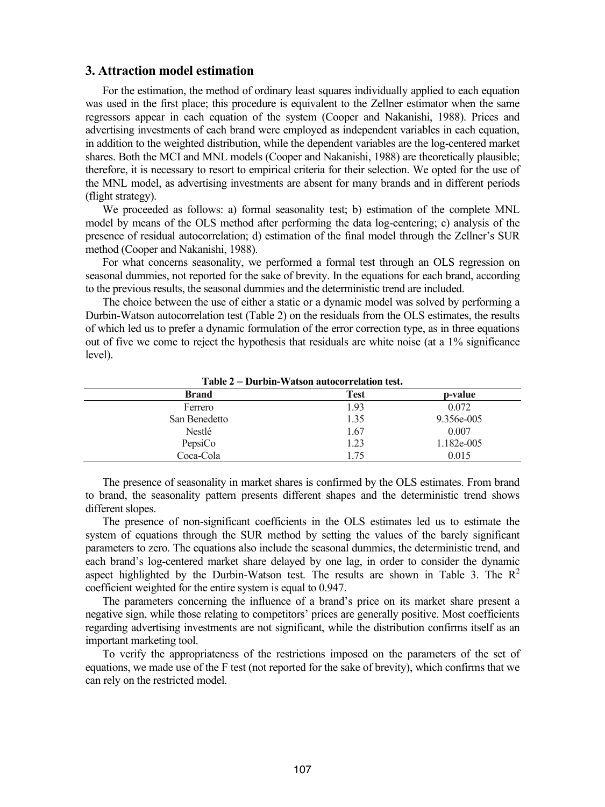## **3. Attraction model estimation**

For the estimation, the method of ordinary least squares individually applied to each equation was used in the first place; this procedure is equivalent to the Zellner estimator when the same regressors appear in each equation of the system (Cooper and Nakanishi, 1988). Prices and advertising investments of each brand were employed as independent variables in each equation, in addition to the weighted distribution, while the dependent variables are the log-centered market shares. Both the MCI and MNL models (Cooper and Nakanishi, 1988) are theoretically plausible; therefore, it is necessary to resort to empirical criteria for their selection. We opted for the use of the MNL model, as advertising investments are absent for many brands and in different periods (flight strategy).

We proceeded as follows: a) formal seasonality test; b) estimation of the complete MNL model by means of the OLS method after performing the data log-centering; c) analysis of the presence of residual autocorrelation; d) estimation of the final model through the Zellner's SUR method (Cooper and Nakanishi, 1988).

For what concerns seasonality, we performed a formal test through an OLS regression on seasonal dummies, not reported for the sake of brevity. In the equations for each brand, according to the previous results, the seasonal dummies and the deterministic trend are included.

The choice between the use of either a static or a dynamic model was solved by performing a Durbin-Watson autocorrelation test (Table 2) on the residuals from the OLS estimates, the results of which led us to prefer a dynamic formulation of the error correction type, as in three equations out of five we come to reject the hypothesis that residuals are white noise (at a 1% significance level).

| $1$ able $2 -$ Durbin- watson autocorrelation test. |      |            |  |  |
|-----------------------------------------------------|------|------------|--|--|
| <b>Brand</b>                                        | Test | p-value    |  |  |
| Ferrero                                             | 1.93 | 0.072      |  |  |
| San Benedetto                                       | 1.35 | 9.356e-005 |  |  |
| Nestlé                                              | 1.67 | 0.007      |  |  |
| PepsiCo                                             | 1.23 | 1.182e-005 |  |  |
| Coca-Cola                                           | 1.75 | 0.015      |  |  |

**Table 2 – Durbin-Watson autocorrelation test.**

The presence of seasonality in market shares is confirmed by the OLS estimates. From brand to brand, the seasonality pattern presents different shapes and the deterministic trend shows different slopes.

The presence of non-significant coefficients in the OLS estimates led us to estimate the system of equations through the SUR method by setting the values of the barely significant parameters to zero. The equations also include the seasonal dummies, the deterministic trend, and each brand's log-centered market share delayed by one lag, in order to consider the dynamic aspect highlighted by the Durbin-Watson test. The results are shown in Table 3. The  $\mathbb{R}^2$ coefficient weighted for the entire system is equal to 0.947.

The parameters concerning the influence of a brand's price on its market share present a negative sign, while those relating to competitors' prices are generally positive. Most coefficients regarding advertising investments are not significant, while the distribution confirms itself as an important marketing tool.

To verify the appropriateness of the restrictions imposed on the parameters of the set of equations, we made use of the F test (not reported for the sake of brevity), which confirms that we can rely on the restricted model.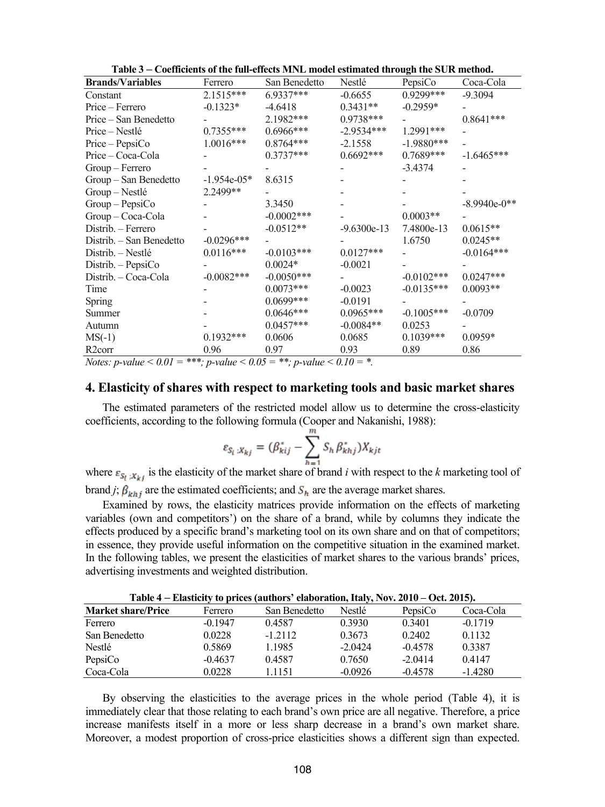| <b>Brands/Variables</b>  | Ferrero       | San Benedetto | Nestlé        | -<br>PepsiCo | Coca-Cola      |
|--------------------------|---------------|---------------|---------------|--------------|----------------|
| Constant                 | 2.1515***     | $6.9337***$   | $-0.6655$     | 0.9299***    | $-9.3094$      |
| Price – Ferrero          | $-0.1323*$    | $-4.6418$     | $0.3431**$    | $-0.2959*$   |                |
| Price – San Benedetto    |               | 2.1982***     | 0.9738***     |              | $0.8641***$    |
| Price – Nestlé           | $0.7355***$   | $0.6966$ ***  | $-2.9534***$  | 1.2991***    |                |
| Price - PepsiCo          | $1.0016***$   | $0.8764***$   | $-2.1558$     | $-1.9880***$ |                |
| Price - Coca-Cola        |               | $0.3737***$   | $0.6692***$   | $0.7689***$  | $-1.6465***$   |
| Group - Ferrero          |               |               |               | $-3.4374$    |                |
| Group - San Benedetto    | $-1.954e-05*$ | 8.6315        |               |              |                |
| Group - Nestlé           | 2.2499**      |               |               |              |                |
| $Group-PepsiCo$          |               | 3.3450        |               |              | $-8.9940e-0**$ |
| Group - Coca-Cola        |               | $-0.0002***$  |               | $0.0003**$   |                |
| Distrib. - Ferrero       |               | $-0.0512**$   | $-9.6300e-13$ | 7.4800e-13   | $0.0615**$     |
| Distrib. - San Benedetto | $-0.0296***$  |               |               | 1.6750       | $0.0245**$     |
| Distrib. – Nestlé        | $0.0116***$   | $-0.0103***$  | $0.0127***$   |              | $-0.0164***$   |
| Distrib. - PepsiCo       |               | $0.0024*$     | $-0.0021$     |              |                |
| Distrib. - Coca-Cola     | $-0.0082***$  | $-0.0050***$  |               | $-0.0102***$ | $0.0247***$    |
| Time                     |               | $0.0073***$   | $-0.0023$     | $-0.0135***$ | $0.0093**$     |
| <b>Spring</b>            |               | $0.0699***$   | $-0.0191$     |              |                |
| Summer                   |               | $0.0646***$   | $0.0965***$   | $-0.1005***$ | $-0.0709$      |
| Autumn                   |               | $0.0457***$   | $-0.0084**$   | 0.0253       |                |
| $MS(-1)$                 | $0.1932***$   | 0.0606        | 0.0685        | $0.1039***$  | $0.0959*$      |
| R <sub>2</sub> corr      | 0.96          | 0.97          | 0.93          | 0.89         | 0.86           |

**Table 3 – Coefficients of the full-effects MNL model estimated through the SUR method.**

*Notes: p-value* <  $0.01 =$ \*\*\*; *p-value* <  $0.05 =$ \*\*; *p-value* <  $0.10 =$ \*.

#### **4. Elasticity of shares with respect to marketing tools and basic market shares**

The estimated parameters of the restricted model allow us to determine the cross-elasticity coefficients, according to the following formula (Cooper and Nakanishi, 1988):

$$
\varepsilon_{S_i:X_{kj}} = (\beta_{kij}^* - \sum_{h=1}^m S_h \beta_{khj}^*) X_{kjt}
$$

where  $\varepsilon_{S_t}$  is the elasticity of the market share of brand *i* with respect to the *k* marketing tool of brand *j*;  $\beta_{khj}$  are the estimated coefficients; and  $S_h$  are the average market shares.

Examined by rows, the elasticity matrices provide information on the effects of marketing variables (own and competitors') on the share of a brand, while by columns they indicate the effects produced by a specific brand's marketing tool on its own share and on that of competitors; in essence, they provide useful information on the competitive situation in the examined market. In the following tables, we present the elasticities of market shares to the various brands' prices, advertising investments and weighted distribution.

| Table 4 – Elasticity to prices (authors' elaboration, Italy, Nov. 2010 – Oct. 2015). |           |               |           |           |           |
|--------------------------------------------------------------------------------------|-----------|---------------|-----------|-----------|-----------|
| <b>Market share/Price</b>                                                            | Ferrero   | San Benedetto | Nestlé    | PepsiCo   | Coca-Cola |
| Ferrero                                                                              | $-0.1947$ | 0.4587        | 0.3930    | 0.3401    | $-0.1719$ |
| San Benedetto                                                                        | 0.0228    | $-1.2112$     | 0.3673    | 0.2402    | 0.1132    |
| Nestlé                                                                               | 0.5869    | 1.1985        | $-2.0424$ | $-0.4578$ | 0.3387    |
| PepsiCo                                                                              | $-0.4637$ | 0.4587        | 0.7650    | $-2.0414$ | 0.4147    |
| Coca-Cola                                                                            | 0.0228    | 1.1151        | $-0.0926$ | $-0.4578$ | $-1.4280$ |

**Table 4 – Elasticity to prices (authors' elaboration, Italy, Nov. 2010 – Oct. 2015).**

By observing the elasticities to the average prices in the whole period (Table 4), it is immediately clear that those relating to each brand's own price are all negative. Therefore, a price increase manifests itself in a more or less sharp decrease in a brand's own market share. Moreover, a modest proportion of cross-price elasticities shows a different sign than expected.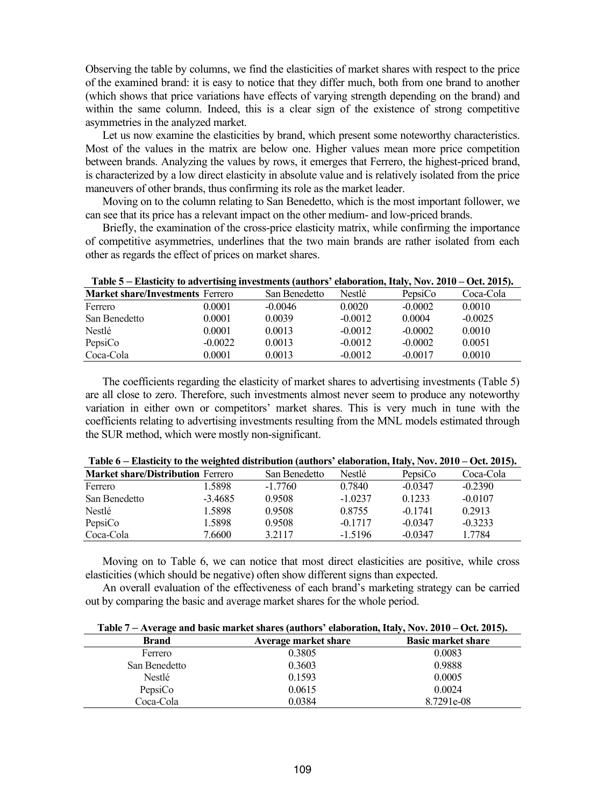Observing the table by columns, we find the elasticities of market shares with respect to the price of the examined brand: it is easy to notice that they differ much, both from one brand to another (which shows that price variations have effects of varying strength depending on the brand) and within the same column. Indeed, this is a clear sign of the existence of strong competitive asymmetries in the analyzed market.

Let us now examine the elasticities by brand, which present some noteworthy characteristics. Most of the values in the matrix are below one. Higher values mean more price competition between brands. Analyzing the values by rows, it emerges that Ferrero, the highest-priced brand, is characterized by a low direct elasticity in absolute value and is relatively isolated from the price maneuvers of other brands, thus confirming its role as the market leader.

Moving on to the column relating to San Benedetto, which is the most important follower, we can see that its price has a relevant impact on the other medium- and low-priced brands.

Briefly, the examination of the cross-price elasticity matrix, while confirming the importance of competitive asymmetries, underlines that the two main brands are rather isolated from each other as regards the effect of prices on market shares.

| Table 5 – Elasticity to advertising investments (authors' elaboration, Italy, Nov. 2010 – Oct. 2015). |           |               |           |           |           |
|-------------------------------------------------------------------------------------------------------|-----------|---------------|-----------|-----------|-----------|
| <b>Market share/Investments Ferrero</b>                                                               |           | San Benedetto | Nestlé    | PepsiCo   | Coca-Cola |
| Ferrero                                                                                               | 0.0001    | $-0.0046$     | 0.0020    | $-0.0002$ | 0.0010    |
| San Benedetto                                                                                         | 0.0001    | 0.0039        | $-0.0012$ | 0.0004    | $-0.0025$ |
| Nestlé                                                                                                | 0.0001    | 0.0013        | $-0.0012$ | $-0.0002$ | 0.0010    |
| PepsiCo                                                                                               | $-0.0022$ | 0.0013        | $-0.0012$ | $-0.0002$ | 0.0051    |
| Coca-Cola                                                                                             | 0.0001    | 0.0013        | $-0.0012$ | $-0.0017$ | 0.0010    |

**Table 5 – Elasticity to advertising investments (authors' elaboration, Italy, Nov. 2010 – Oct. 2015).**

The coefficients regarding the elasticity of market shares to advertising investments (Table 5) are all close to zero. Therefore, such investments almost never seem to produce any noteworthy variation in either own or competitors' market shares. This is very much in tune with the coefficients relating to advertising investments resulting from the MNL models estimated through the SUR method, which were mostly non-significant.

| $1$ able $0$ – Elasticity to the weighted distribution (authors) claboration, italy, $150$ y, $2010$ – Oct. $2013$ ). |           |               |           |           |           |
|-----------------------------------------------------------------------------------------------------------------------|-----------|---------------|-----------|-----------|-----------|
| <b>Market share/Distribution Ferrero</b>                                                                              |           | San Benedetto | Nestlé    | PepsiCo   | Coca-Cola |
| Ferrero                                                                                                               | 1.5898    | $-1.7760$     | 0.7840    | $-0.0347$ | $-0.2390$ |
| San Benedetto                                                                                                         | $-3.4685$ | 0.9508        | $-1.0237$ | 0.1233    | $-0.0107$ |
| Nestlé                                                                                                                | 1.5898    | 0.9508        | 0.8755    | $-0.1741$ | 0.2913    |
| PepsiCo                                                                                                               | 1.5898    | 0.9508        | $-0.1717$ | $-0.0347$ | $-0.3233$ |
| Coca-Cola                                                                                                             | 7.6600    | 3.2117        | $-1.5196$ | $-0.0347$ | 1.7784    |
|                                                                                                                       |           |               |           |           |           |

|  | Table 6 – Elasticity to the weighted distribution (authors' elaboration, Italy, Nov. 2010 – Oct. 2015). |
|--|---------------------------------------------------------------------------------------------------------|
|--|---------------------------------------------------------------------------------------------------------|

Moving on to Table 6, we can notice that most direct elasticities are positive, while cross elasticities (which should be negative) often show different signs than expected.

An overall evaluation of the effectiveness of each brand's marketing strategy can be carried out by comparing the basic and average market shares for the whole period.

| <b>Brand</b>  | Average market share | <b>Basic market share</b> |
|---------------|----------------------|---------------------------|
| Ferrero       | 0.3805               | 0.0083                    |
| San Benedetto | 0.3603               | 0.9888                    |
| Nestlé        | 0.1593               | 0.0005                    |
| PepsiCo       | 0.0615               | 0.0024                    |
| Coca-Cola     | 0.0384               | 8.7291e-08                |